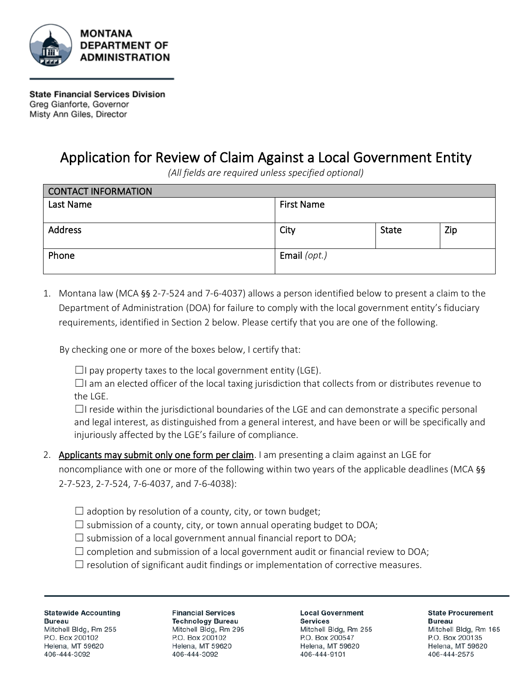

**State Financial Services Division** Greg Gianforte, Governor Misty Ann Giles, Director

## Application for Review of Claim Against a Local Government Entity

*(All fields are required unless specified optional)*

| <b>CONTACT INFORMATION</b> |                   |              |     |  |
|----------------------------|-------------------|--------------|-----|--|
| Last Name                  | <b>First Name</b> |              |     |  |
|                            |                   |              |     |  |
| Address                    | City              | <b>State</b> | Zip |  |
|                            |                   |              |     |  |
| Phone                      | Email (opt.)      |              |     |  |
|                            |                   |              |     |  |

1. Montana law (MCA §§ 2-7-524 and 7-6-4037) allows a person identified below to present a claim to the Department of Administration (DOA) for failure to comply with the local government entity's fiduciary requirements, identified in Section 2 below. Please certify that you are one of the following.

By checking one or more of the boxes below, I certify that:

 $\Box$ I pay property taxes to the local government entity (LGE).

 $\Box$ I am an elected officer of the local taxing jurisdiction that collects from or distributes revenue to the LGE.

 $\Box$ I reside within the jurisdictional boundaries of the LGE and can demonstrate a specific personal and legal interest, as distinguished from a general interest, and have been or will be specifically and injuriously affected by the LGE's failure of compliance.

- 2. Applicants may submit only one form per claim. I am presenting a claim against an LGE for noncompliance with one or more of the following within two years of the applicable deadlines (MCA §§ 2-7-523, 2-7-524, 7-6-4037, and 7-6-4038):
	- $\Box$  adoption by resolution of a county, city, or town budget;
	- $\Box$  submission of a county, city, or town annual operating budget to DOA;
	- $\Box$  submission of a local government annual financial report to DOA;
	- $\Box$  completion and submission of a local government audit or financial review to DOA;
	- $\Box$  resolution of significant audit findings or implementation of corrective measures.

**Statewide Accounting Bureau** Mitchell Bldg, Rm 255 P.O. Box 200102 Helena, MT 59620 406-444-3092

**Financial Services Technology Bureau** Mitchell Bldg, Rm 295 P.O. Box 200102 Helena, MT 59620 406-444-3092

**Local Government Services** 

Mitchell Bldg, Rm 255 P.O. Box 200547 Helena, MT 59620 406-444-9101

**State Procurement Bureau** Mitchell Bldg, Rm 165 P.O. Box 200135 Helena, MT 59620 406-444-2575